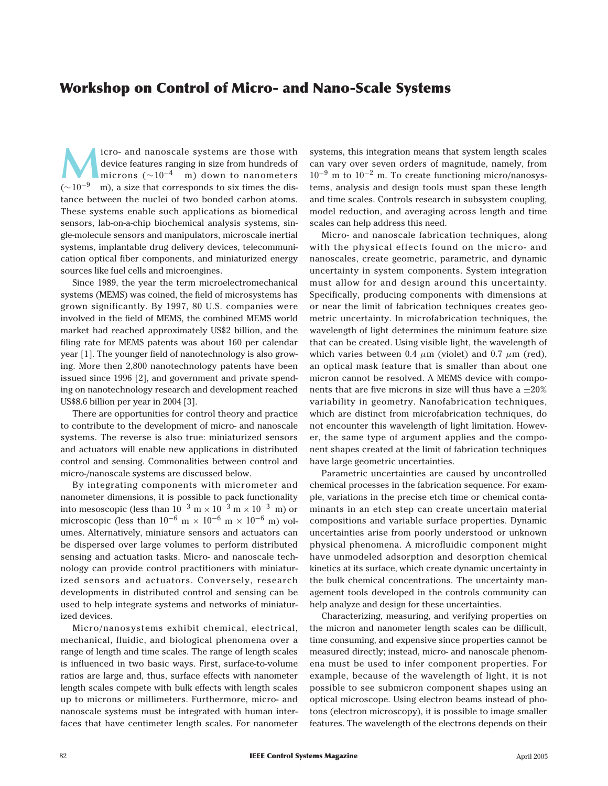# **Workshop on Control of Micro- and Nano-Scale Systems**

**M** icro- and nanoscale systems are those with<br>device features ranging in size from hundreds of<br>microns (∼10<sup>−4</sup> m) down to nanometers<br>(∼10<sup>−9</sup> m), a size that corresponds to six times the disdevice features ranging in size from hundreds of  $(\sim 10^{-9}$  m), a size that corresponds to six times the distance between the nuclei of two bonded carbon atoms. These systems enable such applications as biomedical sensors, lab-on-a-chip biochemical analysis systems, single-molecule sensors and manipulators, microscale inertial systems, implantable drug delivery devices, telecommunication optical fiber components, and miniaturized energy sources like fuel cells and microengines.

Since 1989, the year the term microelectromechanical systems (MEMS) was coined, the field of microsystems has grown significantly. By 1997, 80 U.S. companies were involved in the field of MEMS, the combined MEMS world market had reached approximately US\$2 billion, and the filing rate for MEMS patents was about 160 per calendar year [1]. The younger field of nanotechnology is also growing. More then 2,800 nanotechnology patents have been issued since 1996 [2], and government and private spending on nanotechnology research and development reached US\$8.6 billion per year in 2004 [3].

There are opportunities for control theory and practice to contribute to the development of micro- and nanoscale systems. The reverse is also true: miniaturized sensors and actuators will enable new applications in distributed control and sensing. Commonalities between control and micro-/nanoscale systems are discussed below.

By integrating components with micrometer and nanometer dimensions, it is possible to pack functionality into mesoscopic (less than  $10^{-3}$  m ×  $10^{-3}$  m ×  $10^{-3}$  m) or microscopic (less than  $10^{-6}$  m ×  $10^{-6}$  m ×  $10^{-6}$  m) volumes. Alternatively, miniature sensors and actuators can be dispersed over large volumes to perform distributed sensing and actuation tasks. Micro- and nanoscale technology can provide control practitioners with miniaturized sensors and actuators. Conversely, research developments in distributed control and sensing can be used to help integrate systems and networks of miniaturized devices.

Micro/nanosystems exhibit chemical, electrical, mechanical, fluidic, and biological phenomena over a range of length and time scales. The range of length scales is influenced in two basic ways. First, surface-to-volume ratios are large and, thus, surface effects with nanometer length scales compete with bulk effects with length scales up to microns or millimeters. Furthermore, micro- and nanoscale systems must be integrated with human interfaces that have centimeter length scales. For nanometer

systems, this integration means that system length scales can vary over seven orders of magnitude, namely, from  $10^{-9}$  m to  $10^{-2}$  m. To create functioning micro/nanosystems, analysis and design tools must span these length and time scales. Controls research in subsystem coupling, model reduction, and averaging across length and time scales can help address this need.

Micro- and nanoscale fabrication techniques, along with the physical effects found on the micro- and nanoscales, create geometric, parametric, and dynamic uncertainty in system components. System integration must allow for and design around this uncertainty. Specifically, producing components with dimensions at or near the limit of fabrication techniques creates geometric uncertainty. In microfabrication techniques, the wavelength of light determines the minimum feature size that can be created. Using visible light, the wavelength of which varies between 0.4  $\mu$ m (violet) and 0.7  $\mu$ m (red), an optical mask feature that is smaller than about one micron cannot be resolved. A MEMS device with components that are five microns in size will thus have a  $\pm 20\%$ variability in geometry. Nanofabrication techniques, which are distinct from microfabrication techniques, do not encounter this wavelength of light limitation. However, the same type of argument applies and the component shapes created at the limit of fabrication techniques have large geometric uncertainties.

Parametric uncertainties are caused by uncontrolled chemical processes in the fabrication sequence. For example, variations in the precise etch time or chemical contaminants in an etch step can create uncertain material compositions and variable surface properties. Dynamic uncertainties arise from poorly understood or unknown physical phenomena. A microfluidic component might have unmodeled adsorption and desorption chemical kinetics at its surface, which create dynamic uncertainty in the bulk chemical concentrations. The uncertainty management tools developed in the controls community can help analyze and design for these uncertainties.

Characterizing, measuring, and verifying properties on the micron and nanometer length scales can be difficult, time consuming, and expensive since properties cannot be measured directly; instead, micro- and nanoscale phenomena must be used to infer component properties. For example, because of the wavelength of light, it is not possible to see submicron component shapes using an optical microscope. Using electron beams instead of photons (electron microscopy), it is possible to image smaller features. The wavelength of the electrons depends on their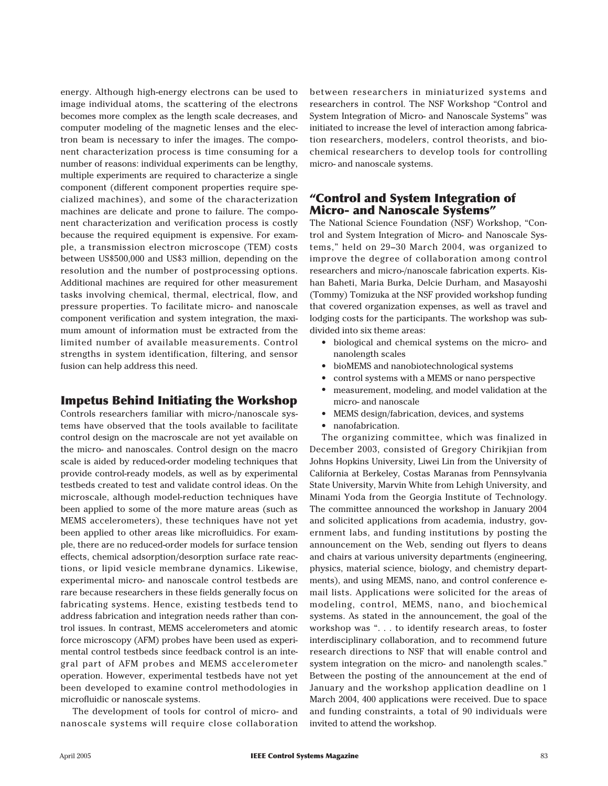energy. Although high-energy electrons can be used to image individual atoms, the scattering of the electrons becomes more complex as the length scale decreases, and computer modeling of the magnetic lenses and the electron beam is necessary to infer the images. The component characterization process is time consuming for a number of reasons: individual experiments can be lengthy, multiple experiments are required to characterize a single component (different component properties require specialized machines), and some of the characterization machines are delicate and prone to failure. The component characterization and verification process is costly because the required equipment is expensive. For example, a transmission electron microscope (TEM) costs between US\$500,000 and US\$3 million, depending on the resolution and the number of postprocessing options. Additional machines are required for other measurement tasks involving chemical, thermal, electrical, flow, and pressure properties. To facilitate micro- and nanoscale component verification and system integration, the maximum amount of information must be extracted from the limited number of available measurements. Control strengths in system identification, filtering, and sensor fusion can help address this need.

### **Impetus Behind Initiating the Workshop**

Controls researchers familiar with micro-/nanoscale systems have observed that the tools available to facilitate control design on the macroscale are not yet available on the micro- and nanoscales. Control design on the macro scale is aided by reduced-order modeling techniques that provide control-ready models, as well as by experimental testbeds created to test and validate control ideas. On the microscale, although model-reduction techniques have been applied to some of the more mature areas (such as MEMS accelerometers), these techniques have not yet been applied to other areas like microfluidics. For example, there are no reduced-order models for surface tension effects, chemical adsorption/desorption surface rate reactions, or lipid vesicle membrane dynamics. Likewise, experimental micro- and nanoscale control testbeds are rare because researchers in these fields generally focus on fabricating systems. Hence, existing testbeds tend to address fabrication and integration needs rather than control issues. In contrast, MEMS accelerometers and atomic force microscopy (AFM) probes have been used as experimental control testbeds since feedback control is an integral part of AFM probes and MEMS accelerometer operation. However, experimental testbeds have not yet been developed to examine control methodologies in microfluidic or nanoscale systems.

The development of tools for control of micro- and nanoscale systems will require close collaboration

between researchers in miniaturized systems and researchers in control. The NSF Workshop "Control and System Integration of Micro- and Nanoscale Systems" was initiated to increase the level of interaction among fabrication researchers, modelers, control theorists, and biochemical researchers to develop tools for controlling micro- and nanoscale systems.

### **"Control and System Integration of Micro- and Nanoscale Systems"**

The National Science Foundation (NSF) Workshop, "Control and System Integration of Micro- and Nanoscale Systems," held on 29–30 March 2004, was organized to improve the degree of collaboration among control researchers and micro-/nanoscale fabrication experts. Kishan Baheti, Maria Burka, Delcie Durham, and Masayoshi (Tommy) Tomizuka at the NSF provided workshop funding that covered organization expenses, as well as travel and lodging costs for the participants. The workshop was subdivided into six theme areas:

- biological and chemical systems on the micro- and nanolength scales
- bioMEMS and nanobiotechnological systems
- control systems with a MEMS or nano perspective
- measurement, modeling, and model validation at the micro- and nanoscale
- MEMS design/fabrication, devices, and systems
- nanofabrication.

The organizing committee, which was finalized in December 2003, consisted of Gregory Chirikjian from Johns Hopkins University, Liwei Lin from the University of California at Berkeley, Costas Maranas from Pennsylvania State University, Marvin White from Lehigh University, and Minami Yoda from the Georgia Institute of Technology. The committee announced the workshop in January 2004 and solicited applications from academia, industry, government labs, and funding institutions by posting the announcement on the Web, sending out flyers to deans and chairs at various university departments (engineering, physics, material science, biology, and chemistry departments), and using MEMS, nano, and control conference email lists. Applications were solicited for the areas of modeling, control, MEMS, nano, and biochemical systems. As stated in the announcement, the goal of the workshop was ". . . to identify research areas, to foster interdisciplinary collaboration, and to recommend future research directions to NSF that will enable control and system integration on the micro- and nanolength scales." Between the posting of the announcement at the end of January and the workshop application deadline on 1 March 2004, 400 applications were received. Due to space and funding constraints, a total of 90 individuals were invited to attend the workshop.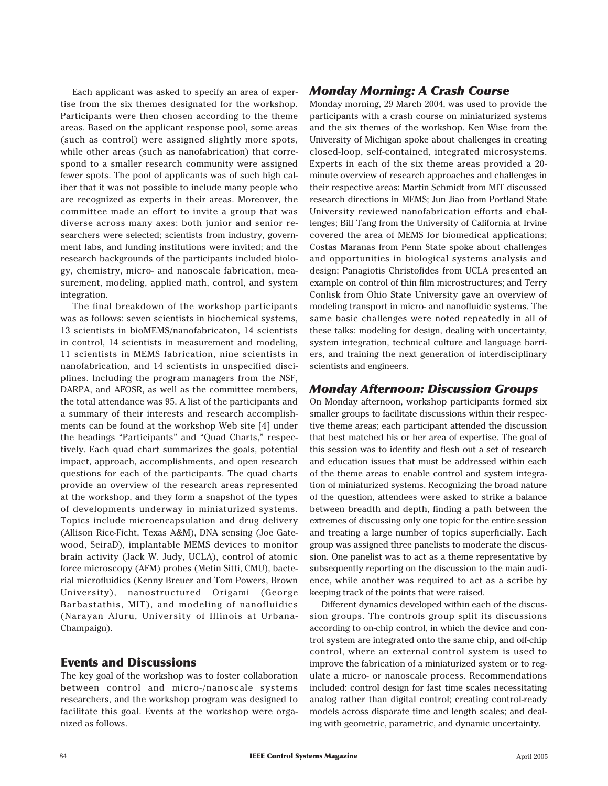Each applicant was asked to specify an area of expertise from the six themes designated for the workshop. Participants were then chosen according to the theme areas. Based on the applicant response pool, some areas (such as control) were assigned slightly more spots, while other areas (such as nanofabrication) that correspond to a smaller research community were assigned fewer spots. The pool of applicants was of such high caliber that it was not possible to include many people who are recognized as experts in their areas. Moreover, the committee made an effort to invite a group that was diverse across many axes: both junior and senior researchers were selected; scientists from industry, government labs, and funding institutions were invited; and the research backgrounds of the participants included biology, chemistry, micro- and nanoscale fabrication, measurement, modeling, applied math, control, and system integration.

The final breakdown of the workshop participants was as follows: seven scientists in biochemical systems, 13 scientists in bioMEMS/nanofabricaton, 14 scientists in control, 14 scientists in measurement and modeling, 11 scientists in MEMS fabrication, nine scientists in nanofabrication, and 14 scientists in unspecified disciplines. Including the program managers from the NSF, DARPA, and AFOSR, as well as the committee members, the total attendance was 95. A list of the participants and a summary of their interests and research accomplishments can be found at the workshop Web site [4] under the headings "Participants" and "Quad Charts," respectively. Each quad chart summarizes the goals, potential impact, approach, accomplishments, and open research questions for each of the participants. The quad charts provide an overview of the research areas represented at the workshop, and they form a snapshot of the types of developments underway in miniaturized systems. Topics include microencapsulation and drug delivery (Allison Rice-Ficht, Texas A&M), DNA sensing (Joe Gatewood, SeiraD), implantable MEMS devices to monitor brain activity (Jack W. Judy, UCLA), control of atomic force microscopy (AFM) probes (Metin Sitti, CMU), bacterial microfluidics (Kenny Breuer and Tom Powers, Brown University), nanostructured Origami (George Barbastathis, MIT), and modeling of nanofluidics (Narayan Aluru, University of Illinois at Urbana-Champaign).

### **Events and Discussions**

The key goal of the workshop was to foster collaboration between control and micro-/nanoscale systems researchers, and the workshop program was designed to facilitate this goal. Events at the workshop were organized as follows.

## *Monday Morning: A Crash Course*

Monday morning, 29 March 2004, was used to provide the participants with a crash course on miniaturized systems and the six themes of the workshop. Ken Wise from the University of Michigan spoke about challenges in creating closed-loop, self-contained, integrated microsystems. Experts in each of the six theme areas provided a 20 minute overview of research approaches and challenges in their respective areas: Martin Schmidt from MIT discussed research directions in MEMS; Jun Jiao from Portland State University reviewed nanofabrication efforts and challenges; Bill Tang from the University of California at Irvine covered the area of MEMS for biomedical applications; Costas Maranas from Penn State spoke about challenges and opportunities in biological systems analysis and design; Panagiotis Christofides from UCLA presented an example on control of thin film microstructures; and Terry Conlisk from Ohio State University gave an overview of modeling transport in micro- and nanofluidic systems. The same basic challenges were noted repeatedly in all of these talks: modeling for design, dealing with uncertainty, system integration, technical culture and language barriers, and training the next generation of interdisciplinary scientists and engineers.

## *Monday Afternoon: Discussion Groups*

On Monday afternoon, workshop participants formed six smaller groups to facilitate discussions within their respective theme areas; each participant attended the discussion that best matched his or her area of expertise. The goal of this session was to identify and flesh out a set of research and education issues that must be addressed within each of the theme areas to enable control and system integration of miniaturized systems. Recognizing the broad nature of the question, attendees were asked to strike a balance between breadth and depth, finding a path between the extremes of discussing only one topic for the entire session and treating a large number of topics superficially. Each group was assigned three panelists to moderate the discussion. One panelist was to act as a theme representative by subsequently reporting on the discussion to the main audience, while another was required to act as a scribe by keeping track of the points that were raised.

Different dynamics developed within each of the discussion groups. The controls group split its discussions according to on-chip control, in which the device and control system are integrated onto the same chip, and off-chip control, where an external control system is used to improve the fabrication of a miniaturized system or to regulate a micro- or nanoscale process. Recommendations included: control design for fast time scales necessitating analog rather than digital control; creating control-ready models across disparate time and length scales; and dealing with geometric, parametric, and dynamic uncertainty.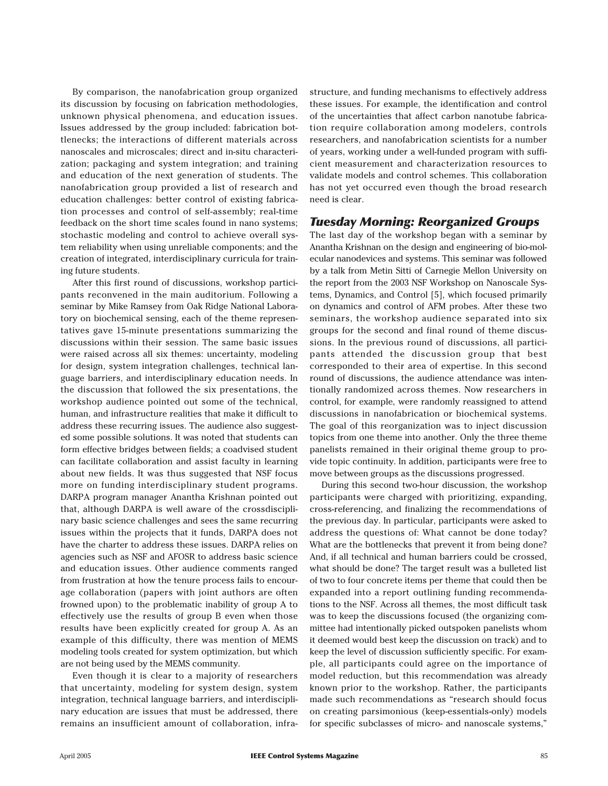By comparison, the nanofabrication group organized its discussion by focusing on fabrication methodologies, unknown physical phenomena, and education issues. Issues addressed by the group included: fabrication bottlenecks; the interactions of different materials across nanoscales and microscales; direct and in-situ characterization; packaging and system integration; and training and education of the next generation of students. The nanofabrication group provided a list of research and education challenges: better control of existing fabrication processes and control of self-assembly; real-time feedback on the short time scales found in nano systems; stochastic modeling and control to achieve overall system reliability when using unreliable components; and the creation of integrated, interdisciplinary curricula for training future students.

After this first round of discussions, workshop participants reconvened in the main auditorium. Following a seminar by Mike Ramsey from Oak Ridge National Laboratory on biochemical sensing, each of the theme representatives gave 15-minute presentations summarizing the discussions within their session. The same basic issues were raised across all six themes: uncertainty, modeling for design, system integration challenges, technical language barriers, and interdisciplinary education needs. In the discussion that followed the six presentations, the workshop audience pointed out some of the technical, human, and infrastructure realities that make it difficult to address these recurring issues. The audience also suggested some possible solutions. It was noted that students can form effective bridges between fields; a coadvised student can facilitate collaboration and assist faculty in learning about new fields. It was thus suggested that NSF focus more on funding interdisciplinary student programs. DARPA program manager Anantha Krishnan pointed out that, although DARPA is well aware of the crossdisciplinary basic science challenges and sees the same recurring issues within the projects that it funds, DARPA does not have the charter to address these issues. DARPA relies on agencies such as NSF and AFOSR to address basic science and education issues. Other audience comments ranged from frustration at how the tenure process fails to encourage collaboration (papers with joint authors are often frowned upon) to the problematic inability of group A to effectively use the results of group B even when those results have been explicitly created for group A. As an example of this difficulty, there was mention of MEMS modeling tools created for system optimization, but which are not being used by the MEMS community.

Even though it is clear to a majority of researchers that uncertainty, modeling for system design, system integration, technical language barriers, and interdisciplinary education are issues that must be addressed, there remains an insufficient amount of collaboration, infra-

structure, and funding mechanisms to effectively address these issues. For example, the identification and control of the uncertainties that affect carbon nanotube fabrication require collaboration among modelers, controls researchers, and nanofabrication scientists for a number of years, working under a well-funded program with sufficient measurement and characterization resources to validate models and control schemes. This collaboration has not yet occurred even though the broad research need is clear.

#### *Tuesday Morning: Reorganized Groups*

The last day of the workshop began with a seminar by Anantha Krishnan on the design and engineering of bio-molecular nanodevices and systems. This seminar was followed by a talk from Metin Sitti of Carnegie Mellon University on the report from the 2003 NSF Workshop on Nanoscale Systems, Dynamics, and Control [5], which focused primarily on dynamics and control of AFM probes. After these two seminars, the workshop audience separated into six groups for the second and final round of theme discussions. In the previous round of discussions, all participants attended the discussion group that best corresponded to their area of expertise. In this second round of discussions, the audience attendance was intentionally randomized across themes. Now researchers in control, for example, were randomly reassigned to attend discussions in nanofabrication or biochemical systems. The goal of this reorganization was to inject discussion topics from one theme into another. Only the three theme panelists remained in their original theme group to provide topic continuity. In addition, participants were free to move between groups as the discussions progressed.

During this second two-hour discussion, the workshop participants were charged with prioritizing, expanding, cross-referencing, and finalizing the recommendations of the previous day. In particular, participants were asked to address the questions of: What cannot be done today? What are the bottlenecks that prevent it from being done? And, if all technical and human barriers could be crossed, what should be done? The target result was a bulleted list of two to four concrete items per theme that could then be expanded into a report outlining funding recommendations to the NSF. Across all themes, the most difficult task was to keep the discussions focused (the organizing committee had intentionally picked outspoken panelists whom it deemed would best keep the discussion on track) and to keep the level of discussion sufficiently specific. For example, all participants could agree on the importance of model reduction, but this recommendation was already known prior to the workshop. Rather, the participants made such recommendations as "research should focus on creating parsimonious (keep-essentials-only) models for specific subclasses of micro- and nanoscale systems,"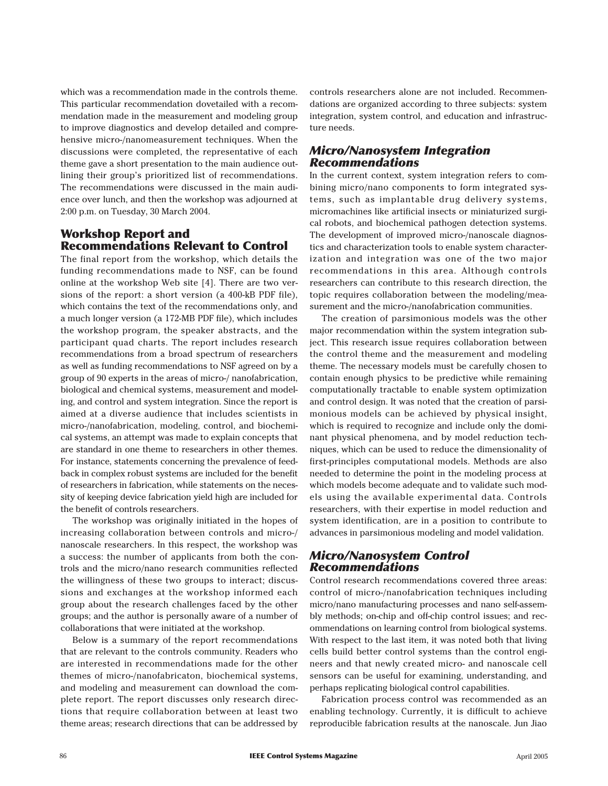which was a recommendation made in the controls theme. This particular recommendation dovetailed with a recommendation made in the measurement and modeling group to improve diagnostics and develop detailed and comprehensive micro-/nanomeasurement techniques. When the discussions were completed, the representative of each theme gave a short presentation to the main audience outlining their group's prioritized list of recommendations. The recommendations were discussed in the main audience over lunch, and then the workshop was adjourned at 2:00 p.m. on Tuesday, 30 March 2004.

## **Workshop Report and Recommendations Relevant to Control**

The final report from the workshop, which details the funding recommendations made to NSF, can be found online at the workshop Web site [4]. There are two versions of the report: a short version (a 400-kB PDF file), which contains the text of the recommendations only, and a much longer version (a 172-MB PDF file), which includes the workshop program, the speaker abstracts, and the participant quad charts. The report includes research recommendations from a broad spectrum of researchers as well as funding recommendations to NSF agreed on by a group of 90 experts in the areas of micro-/ nanofabrication, biological and chemical systems, measurement and modeling, and control and system integration. Since the report is aimed at a diverse audience that includes scientists in micro-/nanofabrication, modeling, control, and biochemical systems, an attempt was made to explain concepts that are standard in one theme to researchers in other themes. For instance, statements concerning the prevalence of feedback in complex robust systems are included for the benefit of researchers in fabrication, while statements on the necessity of keeping device fabrication yield high are included for the benefit of controls researchers.

The workshop was originally initiated in the hopes of increasing collaboration between controls and micro-/ nanoscale researchers. In this respect, the workshop was a success: the number of applicants from both the controls and the micro/nano research communities reflected the willingness of these two groups to interact; discussions and exchanges at the workshop informed each group about the research challenges faced by the other groups; and the author is personally aware of a number of collaborations that were initiated at the workshop.

Below is a summary of the report recommendations that are relevant to the controls community. Readers who are interested in recommendations made for the other themes of micro-/nanofabricaton, biochemical systems, and modeling and measurement can download the complete report. The report discusses only research directions that require collaboration between at least two theme areas; research directions that can be addressed by

controls researchers alone are not included. Recommendations are organized according to three subjects: system integration, system control, and education and infrastructure needs.

### *Micro/Nanosystem Integration Recommendations*

In the current context, system integration refers to combining micro/nano components to form integrated systems, such as implantable drug delivery systems, micromachines like artificial insects or miniaturized surgical robots, and biochemical pathogen detection systems. The development of improved micro-/nanoscale diagnostics and characterization tools to enable system characterization and integration was one of the two major recommendations in this area. Although controls researchers can contribute to this research direction, the topic requires collaboration between the modeling/measurement and the micro-/nanofabrication communities.

The creation of parsimonious models was the other major recommendation within the system integration subject. This research issue requires collaboration between the control theme and the measurement and modeling theme. The necessary models must be carefully chosen to contain enough physics to be predictive while remaining computationally tractable to enable system optimization and control design. It was noted that the creation of parsimonious models can be achieved by physical insight, which is required to recognize and include only the dominant physical phenomena, and by model reduction techniques, which can be used to reduce the dimensionality of first-principles computational models. Methods are also needed to determine the point in the modeling process at which models become adequate and to validate such models using the available experimental data. Controls researchers, with their expertise in model reduction and system identification, are in a position to contribute to advances in parsimonious modeling and model validation.

#### *Micro/Nanosystem Control Recommendations*

Control research recommendations covered three areas: control of micro-/nanofabrication techniques including micro/nano manufacturing processes and nano self-assembly methods; on-chip and off-chip control issues; and recommendations on learning control from biological systems. With respect to the last item, it was noted both that living cells build better control systems than the control engineers and that newly created micro- and nanoscale cell sensors can be useful for examining, understanding, and perhaps replicating biological control capabilities.

Fabrication process control was recommended as an enabling technology. Currently, it is difficult to achieve reproducible fabrication results at the nanoscale. Jun Jiao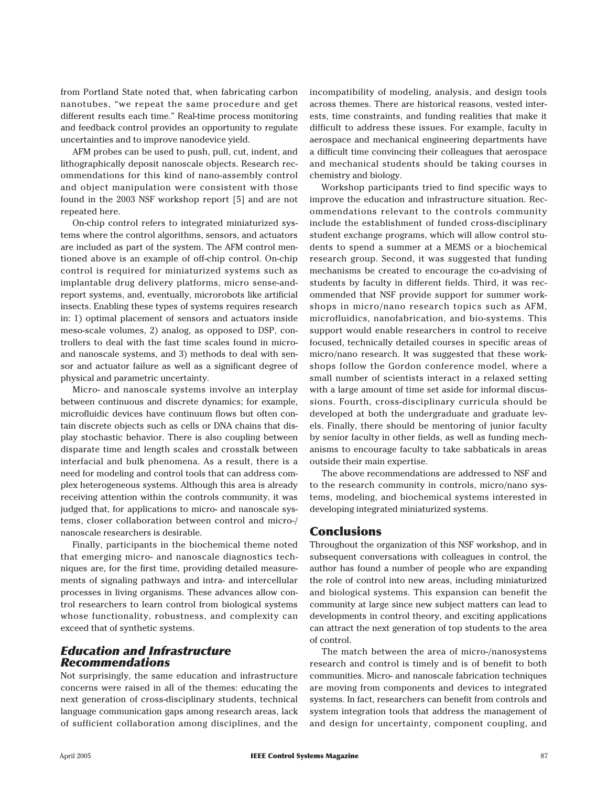from Portland State noted that, when fabricating carbon nanotubes, "we repeat the same procedure and get different results each time." Real-time process monitoring and feedback control provides an opportunity to regulate uncertainties and to improve nanodevice yield.

AFM probes can be used to push, pull, cut, indent, and lithographically deposit nanoscale objects. Research recommendations for this kind of nano-assembly control and object manipulation were consistent with those found in the 2003 NSF workshop report [5] and are not repeated here.

On-chip control refers to integrated miniaturized systems where the control algorithms, sensors, and actuators are included as part of the system. The AFM control mentioned above is an example of off-chip control. On-chip control is required for miniaturized systems such as implantable drug delivery platforms, micro sense-andreport systems, and, eventually, microrobots like artificial insects. Enabling these types of systems requires research in: 1) optimal placement of sensors and actuators inside meso-scale volumes, 2) analog, as opposed to DSP, controllers to deal with the fast time scales found in microand nanoscale systems, and 3) methods to deal with sensor and actuator failure as well as a significant degree of physical and parametric uncertainty.

Micro- and nanoscale systems involve an interplay between continuous and discrete dynamics; for example, microfluidic devices have continuum flows but often contain discrete objects such as cells or DNA chains that display stochastic behavior. There is also coupling between disparate time and length scales and crosstalk between interfacial and bulk phenomena. As a result, there is a need for modeling and control tools that can address complex heterogeneous systems. Although this area is already receiving attention within the controls community, it was judged that, for applications to micro- and nanoscale systems, closer collaboration between control and micro-/ nanoscale researchers is desirable.

Finally, participants in the biochemical theme noted that emerging micro- and nanoscale diagnostics techniques are, for the first time, providing detailed measurements of signaling pathways and intra- and intercellular processes in living organisms. These advances allow control researchers to learn control from biological systems whose functionality, robustness, and complexity can exceed that of synthetic systems.

#### *Education and Infrastructure Recommendations*

Not surprisingly, the same education and infrastructure concerns were raised in all of the themes: educating the next generation of cross-disciplinary students, technical language communication gaps among research areas, lack of sufficient collaboration among disciplines, and the

incompatibility of modeling, analysis, and design tools across themes. There are historical reasons, vested interests, time constraints, and funding realities that make it difficult to address these issues. For example, faculty in aerospace and mechanical engineering departments have a difficult time convincing their colleagues that aerospace and mechanical students should be taking courses in chemistry and biology.

Workshop participants tried to find specific ways to improve the education and infrastructure situation. Recommendations relevant to the controls community include the establishment of funded cross-disciplinary student exchange programs, which will allow control students to spend a summer at a MEMS or a biochemical research group. Second, it was suggested that funding mechanisms be created to encourage the co-advising of students by faculty in different fields. Third, it was recommended that NSF provide support for summer workshops in micro/nano research topics such as AFM, microfluidics, nanofabrication, and bio-systems. This support would enable researchers in control to receive focused, technically detailed courses in specific areas of micro/nano research. It was suggested that these workshops follow the Gordon conference model, where a small number of scientists interact in a relaxed setting with a large amount of time set aside for informal discussions. Fourth, cross-disciplinary curricula should be developed at both the undergraduate and graduate levels. Finally, there should be mentoring of junior faculty by senior faculty in other fields, as well as funding mechanisms to encourage faculty to take sabbaticals in areas outside their main expertise.

The above recommendations are addressed to NSF and to the research community in controls, micro/nano systems, modeling, and biochemical systems interested in developing integrated miniaturized systems.

### **Conclusions**

Throughout the organization of this NSF workshop, and in subsequent conversations with colleagues in control, the author has found a number of people who are expanding the role of control into new areas, including miniaturized and biological systems. This expansion can benefit the community at large since new subject matters can lead to developments in control theory, and exciting applications can attract the next generation of top students to the area of control.

The match between the area of micro-/nanosystems research and control is timely and is of benefit to both communities. Micro- and nanoscale fabrication techniques are moving from components and devices to integrated systems. In fact, researchers can benefit from controls and system integration tools that address the management of and design for uncertainty, component coupling, and